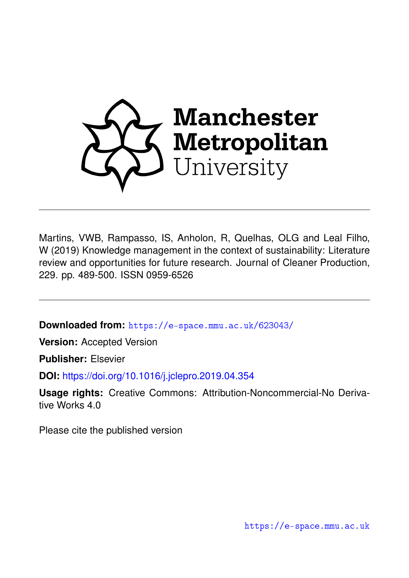

Martins, VWB, Rampasso, IS, Anholon, R, Quelhas, OLG and Leal Filho, W (2019) Knowledge management in the context of sustainability: Literature review and opportunities for future research. Journal of Cleaner Production, 229. pp. 489-500. ISSN 0959-6526

**Downloaded from:** <https://e-space.mmu.ac.uk/623043/>

**Version:** Accepted Version

**Publisher:** Elsevier

**DOI:** <https://doi.org/10.1016/j.jclepro.2019.04.354>

**Usage rights:** Creative Commons: Attribution-Noncommercial-No Derivative Works 4.0

Please cite the published version

<https://e-space.mmu.ac.uk>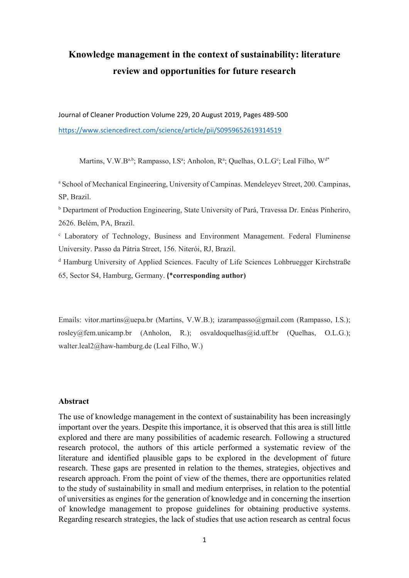# **Knowledge management in the context of sustainability: literature review and opportunities for future research**

Journal of Cleaner Production Volume 229, 20 August 2019, Pages 489-500 <https://www.sciencedirect.com/science/article/pii/S0959652619314519>

Martins, V.W.B<sup>a,b</sup>; Rampasso, I.S<sup>a</sup>; Anholon, R<sup>a</sup>; Quelhas, O.L.G<sup>c</sup>; Leal Filho, W<sup>d\*</sup>

<sup>a</sup> School of Mechanical Engineering, University of Campinas. Mendeleyev Street, 200. Campinas, SP, Brazil.

<sup>b</sup> Department of Production Engineering, State University of Pará, Travessa Dr. Enéas Pinheriro, 2626. Belém, PA, Brazil.

<sup>c</sup> Laboratory of Technology, Business and Environment Management. Federal Fluminense University. Passo da Pátria Street, 156. Niterói, RJ, Brazil.

<sup>d</sup> [Hamburg University of Applied Sciences.](https://www.haw-hamburg.de/en/ftz-nk/) Faculty of Life Sciences Lohbruegger Kirchstraße 65, Sector S4, Hamburg, Germany. **(\*corresponding author)**

Emails: vitor.martins@uepa.br (Martins, V.W.B.); izarampasso@gmail.com (Rampasso, I.S.); rosley@fem.unicamp.br (Anholon, R.); osvaldoquelhas@id.uff.br (Quelhas, O.L.G.); walter.leal2@haw-hamburg.de (Leal Filho, W.)

## **Abstract**

The use of knowledge management in the context of sustainability has been increasingly important over the years. Despite this importance, it is observed that this area is still little explored and there are many possibilities of academic research. Following a structured research protocol, the authors of this article performed a systematic review of the literature and identified plausible gaps to be explored in the development of future research. These gaps are presented in relation to the themes, strategies, objectives and research approach. From the point of view of the themes, there are opportunities related to the study of sustainability in small and medium enterprises, in relation to the potential of universities as engines for the generation of knowledge and in concerning the insertion of knowledge management to propose guidelines for obtaining productive systems. Regarding research strategies, the lack of studies that use action research as central focus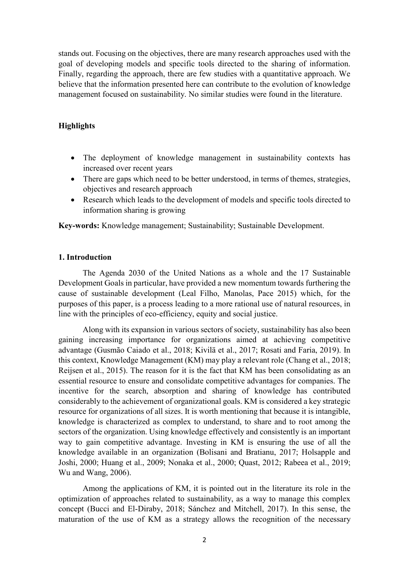stands out. Focusing on the objectives, there are many research approaches used with the goal of developing models and specific tools directed to the sharing of information. Finally, regarding the approach, there are few studies with a quantitative approach. We believe that the information presented here can contribute to the evolution of knowledge management focused on sustainability. No similar studies were found in the literature.

# **Highlights**

- The deployment of knowledge management in sustainability contexts has increased over recent years
- There are gaps which need to be better understood, in terms of themes, strategies, objectives and research approach
- Research which leads to the development of models and specific tools directed to information sharing is growing

**Key-words:** Knowledge management; Sustainability; Sustainable Development.

## **1. Introduction**

The Agenda 2030 of the United Nations as a whole and the 17 Sustainable Development Goals in particular, have provided a new momentum towards furthering the cause of sustainable development (Leal Filho, Manolas, Pace 2015) which, for the purposes of this paper, is a process leading to a more rational use of natural resources, in line with the principles of eco-efficiency, equity and social justice.

Along with its expansion in various sectors of society, sustainability has also been gaining increasing importance for organizations aimed at achieving competitive advantage (Gusmão Caiado et al., 2018; Kivilä et al., 2017; Rosati and Faria, 2019). In this context, Knowledge Management (KM) may play a relevant role (Chang et al., 2018; Reijsen et al., 2015). The reason for it is the fact that KM has been consolidating as an essential resource to ensure and consolidate competitive advantages for companies. The incentive for the search, absorption and sharing of knowledge has contributed considerably to the achievement of organizational goals. KM is considered a key strategic resource for organizations of all sizes. It is worth mentioning that because it is intangible, knowledge is characterized as complex to understand, to share and to root among the sectors of the organization. Using knowledge effectively and consistently is an important way to gain competitive advantage. Investing in KM is ensuring the use of all the knowledge available in an organization (Bolisani and Bratianu, 2017; Holsapple and Joshi, 2000; Huang et al., 2009; Nonaka et al., 2000; Quast, 2012; Rabeea et al., 2019; Wu and Wang, 2006).

Among the applications of KM, it is pointed out in the literature its role in the optimization of approaches related to sustainability, as a way to manage this complex concept (Bucci and El-Diraby, 2018; Sánchez and Mitchell, 2017). In this sense, the maturation of the use of KM as a strategy allows the recognition of the necessary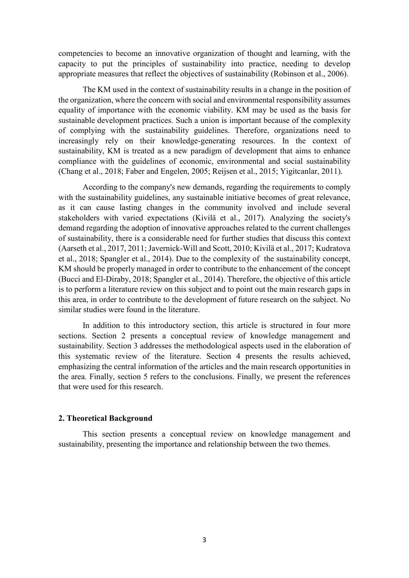competencies to become an innovative organization of thought and learning, with the capacity to put the principles of sustainability into practice, needing to develop appropriate measures that reflect the objectives of sustainability (Robinson et al., 2006).

The KM used in the context of sustainability results in a change in the position of the organization, where the concern with social and environmental responsibility assumes equality of importance with the economic viability. KM may be used as the basis for sustainable development practices. Such a union is important because of the complexity of complying with the sustainability guidelines. Therefore, organizations need to increasingly rely on their knowledge-generating resources. In the context of sustainability, KM is treated as a new paradigm of development that aims to enhance compliance with the guidelines of economic, environmental and social sustainability (Chang et al., 2018; Faber and Engelen, 2005; Reijsen et al., 2015; Yigitcanlar, 2011).

According to the company's new demands, regarding the requirements to comply with the sustainability guidelines, any sustainable initiative becomes of great relevance, as it can cause lasting changes in the community involved and include several stakeholders with varied expectations (Kivilä et al., 2017). Analyzing the society's demand regarding the adoption of innovative approaches related to the current challenges of sustainability, there is a considerable need for further studies that discuss this context (Aarseth et al., 2017, 2011; Javernick-Will and Scott, 2010; Kivilä et al., 2017; Kudratova et al., 2018; Spangler et al., 2014). Due to the complexity of the sustainability concept, KM should be properly managed in order to contribute to the enhancement of the concept (Bucci and El-Diraby, 2018; Spangler et al., 2014). Therefore, the objective of this article is to perform a literature review on this subject and to point out the main research gaps in this area, in order to contribute to the development of future research on the subject. No similar studies were found in the literature.

In addition to this introductory section, this article is structured in four more sections. Section 2 presents a conceptual review of knowledge management and sustainability. Section 3 addresses the methodological aspects used in the elaboration of this systematic review of the literature. Section 4 presents the results achieved, emphasizing the central information of the articles and the main research opportunities in the area. Finally, section 5 refers to the conclusions. Finally, we present the references that were used for this research.

#### **2. Theoretical Background**

This section presents a conceptual review on knowledge management and sustainability, presenting the importance and relationship between the two themes.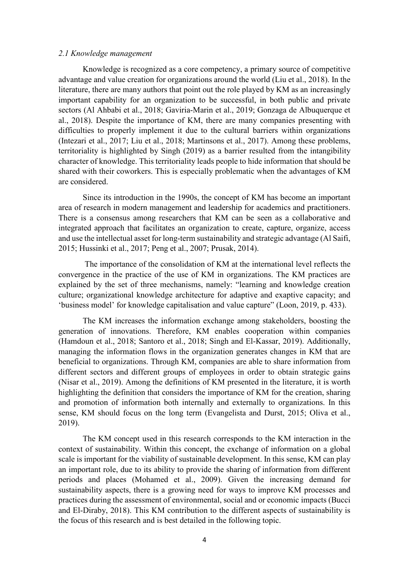#### *2.1 Knowledge management*

Knowledge is recognized as a core competency, a primary source of competitive advantage and value creation for organizations around the world (Liu et al., 2018). In the literature, there are many authors that point out the role played by KM as an increasingly important capability for an organization to be successful, in both public and private sectors (Al Ahbabi et al., 2018; Gaviria-Marin et al., 2019; Gonzaga de Albuquerque et al., 2018). Despite the importance of KM, there are many companies presenting with difficulties to properly implement it due to the cultural barriers within organizations (Intezari et al., 2017; Liu et al., 2018; Martinsons et al., 2017). Among these problems, territoriality is highlighted by Singh (2019) as a barrier resulted from the intangibility character of knowledge. This territoriality leads people to hide information that should be shared with their coworkers. This is especially problematic when the advantages of KM are considered.

Since its introduction in the 1990s, the concept of KM has become an important area of research in modern management and leadership for academics and practitioners. There is a consensus among researchers that KM can be seen as a collaborative and integrated approach that facilitates an organization to create, capture, organize, access and use the intellectual asset for long-term sustainability and strategic advantage (Al Saifi, 2015; Hussinki et al., 2017; Peng et al., 2007; Prusak, 2014).

The importance of the consolidation of KM at the international level reflects the convergence in the practice of the use of KM in organizations. The KM practices are explained by the set of three mechanisms, namely: "learning and knowledge creation culture; organizational knowledge architecture for adaptive and exaptive capacity; and 'business model' for knowledge capitalisation and value capture" (Loon, 2019, p. 433).

The KM increases the information exchange among stakeholders, boosting the generation of innovations. Therefore, KM enables cooperation within companies (Hamdoun et al., 2018; Santoro et al., 2018; Singh and El-Kassar, 2019). Additionally, managing the information flows in the organization generates changes in KM that are beneficial to organizations. Through KM, companies are able to share information from different sectors and different groups of employees in order to obtain strategic gains (Nisar et al., 2019). Among the definitions of KM presented in the literature, it is worth highlighting the definition that considers the importance of KM for the creation, sharing and promotion of information both internally and externally to organizations. In this sense, KM should focus on the long term (Evangelista and Durst, 2015; Oliva et al., 2019).

The KM concept used in this research corresponds to the KM interaction in the context of sustainability. Within this concept, the exchange of information on a global scale is important for the viability of sustainable development. In this sense, KM can play an important role, due to its ability to provide the sharing of information from different periods and places (Mohamed et al., 2009). Given the increasing demand for sustainability aspects, there is a growing need for ways to improve KM processes and practices during the assessment of environmental, social and or economic impacts (Bucci and El-Diraby, 2018). This KM contribution to the different aspects of sustainability is the focus of this research and is best detailed in the following topic.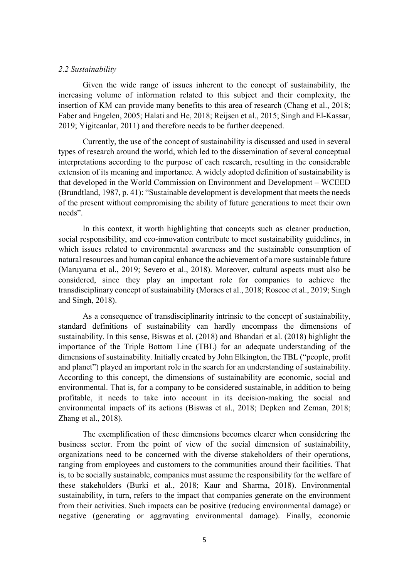#### *2.2 Sustainability*

Given the wide range of issues inherent to the concept of sustainability, the increasing volume of information related to this subject and their complexity, the insertion of KM can provide many benefits to this area of research (Chang et al., 2018; Faber and Engelen, 2005; Halati and He, 2018; Reijsen et al., 2015; Singh and El-Kassar, 2019; Yigitcanlar, 2011) and therefore needs to be further deepened.

Currently, the use of the concept of sustainability is discussed and used in several types of research around the world, which led to the dissemination of several conceptual interpretations according to the purpose of each research, resulting in the considerable extension of its meaning and importance. A widely adopted definition of sustainability is that developed in the World Commission on Environment and Development – WCEED (Brundtland, 1987, p. 41): "Sustainable development is development that meets the needs of the present without compromising the ability of future generations to meet their own needs".

In this context, it worth highlighting that concepts such as cleaner production, social responsibility, and eco-innovation contribute to meet sustainability guidelines, in which issues related to environmental awareness and the sustainable consumption of natural resources and human capital enhance the achievement of a more sustainable future (Maruyama et al., 2019; Severo et al., 2018). Moreover, cultural aspects must also be considered, since they play an important role for companies to achieve the transdisciplinary concept of sustainability (Moraes et al., 2018; Roscoe et al., 2019; Singh and Singh, 2018).

As a consequence of transdisciplinarity intrinsic to the concept of sustainability, standard definitions of sustainability can hardly encompass the dimensions of sustainability. In this sense, Biswas et al. (2018) and Bhandari et al. (2018) highlight the importance of the Triple Bottom Line (TBL) for an adequate understanding of the dimensions of sustainability. Initially created by John Elkington, the TBL ("people, profit and planet") played an important role in the search for an understanding of sustainability. According to this concept, the dimensions of sustainability are economic, social and environmental. That is, for a company to be considered sustainable, in addition to being profitable, it needs to take into account in its decision-making the social and environmental impacts of its actions (Biswas et al., 2018; Depken and Zeman, 2018; Zhang et al., 2018).

The exemplification of these dimensions becomes clearer when considering the business sector. From the point of view of the social dimension of sustainability, organizations need to be concerned with the diverse stakeholders of their operations, ranging from employees and customers to the communities around their facilities. That is, to be socially sustainable, companies must assume the responsibility for the welfare of these stakeholders (Burki et al., 2018; Kaur and Sharma, 2018). Environmental sustainability, in turn, refers to the impact that companies generate on the environment from their activities. Such impacts can be positive (reducing environmental damage) or negative (generating or aggravating environmental damage). Finally, economic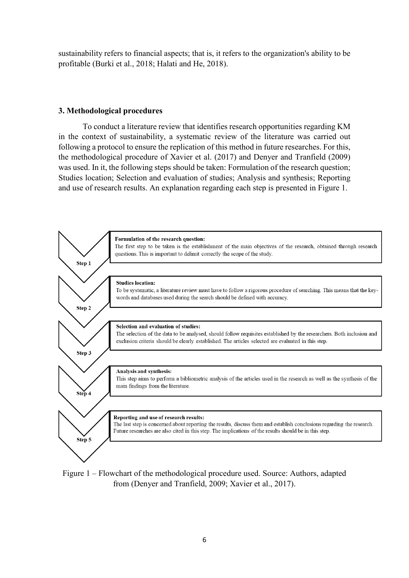sustainability refers to financial aspects; that is, it refers to the organization's ability to be profitable (Burki et al., 2018; Halati and He, 2018).

# **3. Methodological procedures**

To conduct a literature review that identifies research opportunities regarding KM in the context of sustainability, a systematic review of the literature was carried out following a protocol to ensure the replication of this method in future researches. For this, the methodological procedure of Xavier et al. (2017) and Denyer and Tranfield (2009) was used. In it, the following steps should be taken: Formulation of the research question; Studies location; Selection and evaluation of studies; Analysis and synthesis; Reporting and use of research results. An explanation regarding each step is presented in Figure 1.



Figure 1 – Flowchart of the methodological procedure used. Source: Authors, adapted from (Denyer and Tranfield, 2009; Xavier et al., 2017).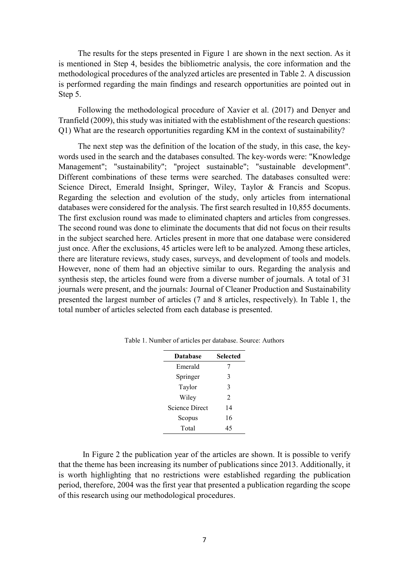The results for the steps presented in Figure 1 are shown in the next section. As it is mentioned in Step 4, besides the bibliometric analysis, the core information and the methodological procedures of the analyzed articles are presented in Table 2. A discussion is performed regarding the main findings and research opportunities are pointed out in Step 5.

Following the methodological procedure of Xavier et al. (2017) and Denyer and Tranfield (2009), this study was initiated with the establishment of the research questions: Q1) What are the research opportunities regarding KM in the context of sustainability?

The next step was the definition of the location of the study, in this case, the keywords used in the search and the databases consulted. The key-words were: "Knowledge Management"; "sustainability"; "project sustainable"; "sustainable development". Different combinations of these terms were searched. The databases consulted were: Science Direct, Emerald Insight, Springer, Wiley, Taylor & Francis and Scopus. Regarding the selection and evolution of the study, only articles from international databases were considered for the analysis. The first search resulted in 10,855 documents. The first exclusion round was made to eliminated chapters and articles from congresses. The second round was done to eliminate the documents that did not focus on their results in the subject searched here. Articles present in more that one database were considered just once. After the exclusions, 45 articles were left to be analyzed. Among these articles, there are literature reviews, study cases, surveys, and development of tools and models. However, none of them had an objective similar to ours. Regarding the analysis and synthesis step, the articles found were from a diverse number of journals. A total of 31 journals were present, and the journals: Journal of Cleaner Production and Sustainability presented the largest number of articles (7 and 8 articles, respectively). In Table 1, the total number of articles selected from each database is presented.

| <b>Database</b>       | <b>Selected</b> |
|-----------------------|-----------------|
| Emerald               | 7               |
| Springer              | 3               |
| Taylor                | 3               |
| Wiley                 | $\mathfrak{D}$  |
| <b>Science Direct</b> | 14              |
| Scopus                | 16              |
| Total                 | 45              |

Table 1. Number of articles per database. Source: Authors

In Figure 2 the publication year of the articles are shown. It is possible to verify that the theme has been increasing its number of publications since 2013. Additionally, it is worth highlighting that no restrictions were established regarding the publication period, therefore, 2004 was the first year that presented a publication regarding the scope of this research using our methodological procedures.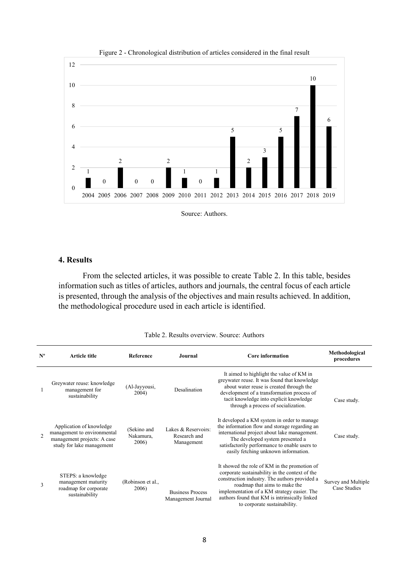

Figure 2 - Chronological distribution of articles considered in the final result

Source: Authors.

# **4. Results**

From the selected articles, it was possible to create Table 2. In this table, besides information such as titles of articles, authors and journals, the central focus of each article is presented, through the analysis of the objectives and main results achieved. In addition, the methodological procedure used in each article is identified.

| $N^{\circ}$   | <b>Article title</b>                                                                                                | <b>Reference</b>                  | <b>Journal</b>                                    | Core information                                                                                                                                                                                                                                                                                                 | Methodological<br>procedures        |
|---------------|---------------------------------------------------------------------------------------------------------------------|-----------------------------------|---------------------------------------------------|------------------------------------------------------------------------------------------------------------------------------------------------------------------------------------------------------------------------------------------------------------------------------------------------------------------|-------------------------------------|
|               | Greywater reuse: knowledge<br>management for<br>sustainability                                                      | (Al-Jayyousi,<br>2004)            | Desalination                                      | It aimed to highlight the value of KM in<br>greywater reuse. It was found that knowledge<br>about water reuse is created through the<br>development of a transformation process of<br>tacit knowledge into explicit knowledge<br>through a process of socialization.                                             | Case study.                         |
| $\mathcal{D}$ | Application of knowledge<br>management to environmental<br>management projects: A case<br>study for lake management | (Sekino and<br>Nakamura,<br>2006) | Lakes & Reservoirs:<br>Research and<br>Management | It developed a KM system in order to manage<br>the information flow and storage regarding an<br>international project about lake management.<br>The developed system presented a<br>satisfactorily performance to enable users to<br>easily fetching unknown information.                                        | Case study.                         |
| 3             | STEPS: a knowledge<br>management maturity<br>roadmap for corporate<br>sustainability                                | (Robinson et al.,<br>2006)        | <b>Business Process</b><br>Management Journal     | It showed the role of KM in the promotion of<br>corporate sustainability in the context of the<br>construction industry. The authors provided a<br>roadmap that aims to make the<br>implementation of a KM strategy easier. The<br>authors found that KM is intrinsically linked<br>to corporate sustainability. | Survey and Multiple<br>Case Studies |

Table 2. Results overview. Source: Authors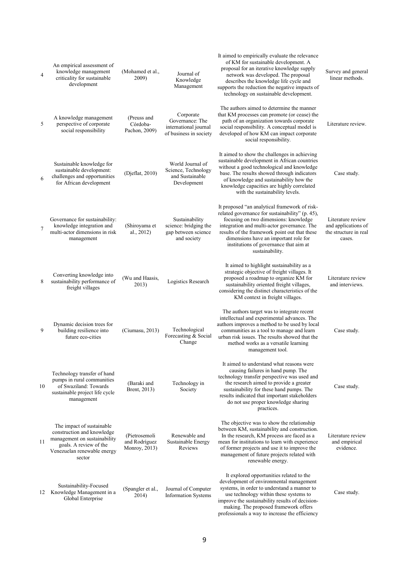| $\overline{4}$ | An empirical assessment of<br>knowledge management<br>criticality for sustainable<br>development                                                           | (Mohamed et al.,<br>2009)                       | Journal of<br>Knowledge<br>Management                                           | It aimed to empirically evaluate the relevance<br>of KM for sustainable development. A<br>proposal for an iterative knowledge supply<br>network was developed. The proposal<br>describes the knowledge life cycle and<br>supports the reduction the negative impacts of<br>technology on sustainable development.                               | Survey and general<br>linear methods.                                       |
|----------------|------------------------------------------------------------------------------------------------------------------------------------------------------------|-------------------------------------------------|---------------------------------------------------------------------------------|-------------------------------------------------------------------------------------------------------------------------------------------------------------------------------------------------------------------------------------------------------------------------------------------------------------------------------------------------|-----------------------------------------------------------------------------|
| 5              | A knowledge management<br>perspective of corporate<br>social responsibility                                                                                | (Preuss and<br>Córdoba-<br>Pachon, 2009)        | Corporate<br>Governance: The<br>international journal<br>of business in society | The authors aimed to determine the manner<br>that KM processes can promote (or cease) the<br>path of an organization towards corporate<br>social responsibility. A conceptual model is<br>developed of how KM can impact corporate<br>social responsibility.                                                                                    | Literature review.                                                          |
| 6              | Sustainable knowledge for<br>sustainable development:<br>challenges and opportunities<br>for African development                                           | (Djeflat, 2010)                                 | World Journal of<br>Science, Technology<br>and Sustainable<br>Development       | It aimed to show the challenges in achieving<br>sustainable development in African countries<br>without a good technological and knowledge<br>base. The results showed through indicators<br>of knowledge and sustainability how the<br>knowledge capacities are highly correlated<br>with the sustainability levels.                           | Case study.                                                                 |
| $\overline{7}$ | Governance for sustainability:<br>knowledge integration and<br>multi-actor dimensions in risk<br>management                                                | (Shiroyama et<br>al., 2012)                     | Sustainability<br>science: bridging the<br>gap between science<br>and society   | It proposed "an analytical framework of risk-<br>related governance for sustainability" (p. 45),<br>focusing on two dimensions: knowledge<br>integration and multi-actor governance. The<br>results of the framework point out that these<br>dimensions have an important role for<br>institutions of governance that aim at<br>sustainability. | Literature review<br>and applications of<br>the structure in real<br>cases. |
| 8              | Converting knowledge into<br>sustainability performance of<br>freight villages                                                                             | (Wu and Haasis,<br>2013)                        | Logistics Research                                                              | It aimed to highlight sustainability as a<br>strategic objective of freight villages. It<br>proposed a roadmap to organize KM for<br>sustainability oriented freight villages,<br>considering the distinct characteristics of the<br>KM context in freight villages.                                                                            | Literature review<br>and interviews.                                        |
| 9              | Dynamic decision trees for<br>building resilience into<br>future eco-cities                                                                                | (Ciumasu, 2013)                                 | Technological<br>Forecasting & Social<br>Change                                 | The authors target was to integrate recent<br>intellectual and experimental advances. The<br>authors improves a method to be used by local<br>communities as a tool to manage and learn<br>urban risk issues. The results showed that the<br>method works as a versatile learning<br>management tool.                                           | Case study.                                                                 |
| 10             | Technology transfer of hand<br>pumps in rural communities<br>of Swaziland: Towards<br>sustainable project life cycle<br>management                         | (Baraki and<br>Brent, 2013)                     | Technology in<br>Society                                                        | It aimed to understand what reasons were<br>causing failures in hand pump. The<br>technology transfer perspective was used and<br>the research aimed to provide a greater<br>sustainability for these hand pumps. The<br>results indicated that important stakeholders<br>do not use proper knowledge sharing<br>practices.                     | Case study.                                                                 |
| 11             | The impact of sustainable<br>construction and knowledge<br>management on sustainability<br>goals. A review of the<br>Venezuelan renewable energy<br>sector | (Pietrosemoli<br>and Rodríguez<br>Monroy, 2013) | Renewable and<br>Sustainable Energy<br>Reviews                                  | The objective was to show the relationship<br>between KM, sustainability and construction.<br>In the research, KM process are faced as a<br>mean for institutions to learn with experience<br>of former projects and use it to improve the<br>management of future projects related with<br>renewable energy.                                   | Literature review<br>and empirical<br>evidence.                             |
| 12             | Sustainability-Focused<br>Knowledge Management in a<br>Global Enterprise                                                                                   | (Spangler et al.,<br>2014)                      | Journal of Computer<br><b>Information Systems</b>                               | It explored opportunities related to the<br>development of environmental management<br>systems, in order to understand a manner to<br>use technology within these systems to<br>improve the sustainability results of decision-<br>making. The proposed framework offers<br>professionals a way to increase the efficiency                      | Case study.                                                                 |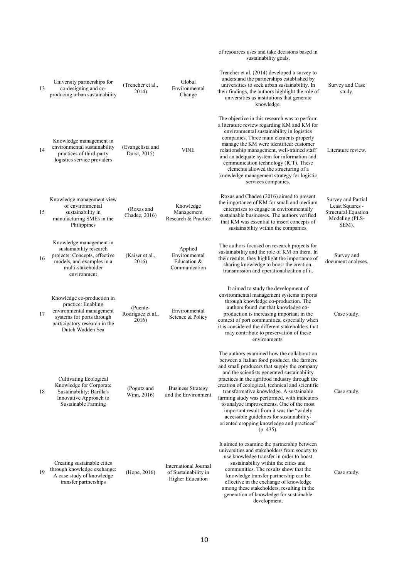|    |                                                                                                                                                                |                                        |                                                                          | of resources uses and take decisions based in<br>sustainability goals.                                                                                                                                                                                                                                                                                                                                                                                                                                                                                                                       |                                                                                                |
|----|----------------------------------------------------------------------------------------------------------------------------------------------------------------|----------------------------------------|--------------------------------------------------------------------------|----------------------------------------------------------------------------------------------------------------------------------------------------------------------------------------------------------------------------------------------------------------------------------------------------------------------------------------------------------------------------------------------------------------------------------------------------------------------------------------------------------------------------------------------------------------------------------------------|------------------------------------------------------------------------------------------------|
| 13 | University partnerships for<br>co-designing and co-<br>producing urban sustainability                                                                          | (Trencher et al.,<br>2014)             | Global<br>Environmental<br>Change                                        | Trencher et al. (2014) developed a survey to<br>understand the partnerships established by<br>universities to seek urban sustainability. In<br>their findings, the authors highlight the role of<br>universities as institutions that generate<br>knowledge.                                                                                                                                                                                                                                                                                                                                 | Survey and Case<br>study.                                                                      |
| 14 | Knowledge management in<br>environmental sustainability<br>practices of third-party<br>logistics service providers                                             | (Evangelista and<br>Durst, 2015)       | <b>VINE</b>                                                              | The objective in this research was to perform<br>a literature review regarding KM and KM for<br>environmental sustainability in logistics<br>companies. Three main elements properly<br>manage the KM were identified: customer<br>relationship management, well-trained staff<br>and an adequate system for information and<br>communication technology (ICT). These<br>elements allowed the structuring of a<br>knowledge management strategy for logistic<br>services companies.                                                                                                          | Literature review.                                                                             |
| 15 | Knowledge management view<br>of environmental<br>sustainability in<br>manufacturing SMEs in the<br>Philippines                                                 | (Roxas and<br>Chadee, 2016)            | Knowledge<br>Management<br>Research & Practice                           | Roxas and Chadee (2016) aimed to present<br>the importance of KM for small and medium<br>enterprises to engage in environmentally<br>sustainable businesses. The authors verified<br>that KM was essential to insert concepts of<br>sustainability within the companies.                                                                                                                                                                                                                                                                                                                     | Survey and Partial<br>Least Squares -<br><b>Structural Equation</b><br>Modeling (PLS-<br>SEM). |
| 16 | Knowledge management in<br>sustainability research<br>projects: Concepts, effective<br>models, and examples in a<br>multi-stakeholder<br>environment           | (Kaiser et al.,<br>2016)               | Applied<br>Environmental<br>Education &<br>Communication                 | The authors focused on research projects for<br>sustainability and the role of KM on them. In<br>their results, they highlight the importance of<br>sharing knowledge to boost the creation,<br>transmission and operationalization of it.                                                                                                                                                                                                                                                                                                                                                   | Survey and<br>document analyses.                                                               |
| 17 | Knowledge co-production in<br>practice: Enabling<br>environmental management<br>systems for ports through<br>participatory research in the<br>Dutch Wadden Sea | (Puente-<br>Rodríguez et al.,<br>2016) | Environmental<br>Science & Policy                                        | It aimed to study the development of<br>environmental management systems in ports<br>through knowledge co-production. The<br>authors found out that knowledge co-<br>production is increasing important in the<br>context of port communities, especially when<br>it is considered the different stakeholders that<br>may contribute to preservation of these<br>environments.                                                                                                                                                                                                               | Case study.                                                                                    |
| 18 | Cultivating Ecological<br>Knowledge for Corporate<br>Sustainability: Barilla's<br>Innovative Approach to<br>Sustainable Farming                                | (Pogutz and<br>Winn, 2016)             | <b>Business Strategy</b><br>and the Environment                          | The authors examined how the collaboration<br>between a Italian food producer, the farmers<br>and small producers that supply the company<br>and the scientists generated sustainability<br>practices in the agrifood industry through the<br>creation of ecological, technical and scientific<br>transformative knowledge. A sustainable<br>farming study was performed, with indicators<br>to analyze improvements. One of the most<br>important result from it was the "widely<br>accessible guidelines for sustainability-<br>oriented cropping knowledge and practices"<br>$(p. 435)$ . | Case study.                                                                                    |
| 19 | Creating sustainable cities<br>through knowledge exchange:<br>A case study of knowledge<br>transfer partnerships                                               | (Hope, 2016)                           | International Journal<br>of Sustainability in<br><b>Higher Education</b> | It aimed to examine the partnership between<br>universities and stakeholders from society to<br>use knowledge transfer in order to boost<br>sustainability within the cities and<br>communities. The results show that the<br>knowledge transfer partnership can be<br>effective in the exchange of knowledge<br>among these stakeholders, resulting in the<br>generation of knowledge for sustainable<br>development.                                                                                                                                                                       | Case study.                                                                                    |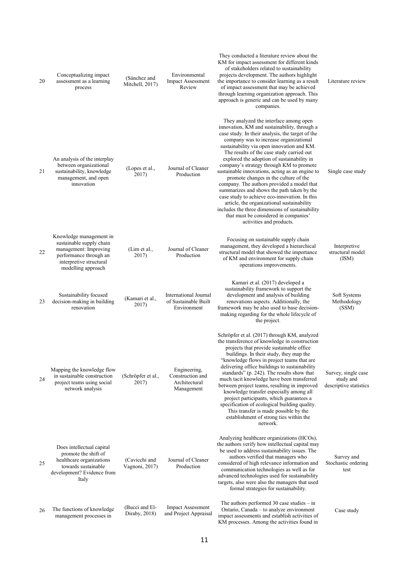| 20 | Conceptualizing impact<br>assessment as a learning<br>process                                                                                           | (Sánchez and<br>Mitchell, 2017) | Environmental<br><b>Impact Assessment</b><br>Review             | They conducted a literature review about the<br>KM for impact assessment for different kinds<br>of stakeholders related to sustainability<br>projects development. The authors highlight<br>the importance to consider learning as a result<br>of impact assessment that may be achieved<br>through learning organization approach. This<br>approach is generic and can be used by many<br>companies.                                                                                                                                                                                                                                                                                                                                                                                    | Literature review                                          |
|----|---------------------------------------------------------------------------------------------------------------------------------------------------------|---------------------------------|-----------------------------------------------------------------|------------------------------------------------------------------------------------------------------------------------------------------------------------------------------------------------------------------------------------------------------------------------------------------------------------------------------------------------------------------------------------------------------------------------------------------------------------------------------------------------------------------------------------------------------------------------------------------------------------------------------------------------------------------------------------------------------------------------------------------------------------------------------------------|------------------------------------------------------------|
| 21 | An analysis of the interplay<br>between organizational<br>sustainability, knowledge<br>management, and open<br>innovation                               | (Lopes et al.,<br>2017)         | Journal of Cleaner<br>Production                                | They analyzed the interface among open<br>innovation, KM and sustainability, through a<br>case study. In their analysis, the target of the<br>company was to increase organizational<br>sustainability via open innovation and KM.<br>The results of the case study carried out<br>explored the adoption of sustainability in<br>company's strategy through KM to promote<br>sustainable innovations, acting as an engine to<br>promote changes in the culture of the<br>company. The authors provided a model that<br>summarizes and shows the path taken by the<br>case study to achieve eco-innovation. In this<br>article, the organizational sustainability<br>includes the three dimensions of sustainability<br>that must be considered in companies'<br>activities and products. | Single case study                                          |
| 22 | Knowledge management in<br>sustainable supply chain<br>management: Improving<br>performance through an<br>interpretive structural<br>modelling approach | (Lim et al.,<br>2017)           | Journal of Cleaner<br>Production                                | Focusing on sustainable supply chain<br>management, they developed a hierarchical<br>structural model that showed the importance<br>of KM and environment for supply chain<br>operations improvements.                                                                                                                                                                                                                                                                                                                                                                                                                                                                                                                                                                                   | Interpretive<br>structural model<br>(ISM)                  |
| 23 | Sustainability focused<br>decision-making in building<br>renovation                                                                                     | (Kamari et al.,<br>2017)        | International Journal<br>of Sustainable Built<br>Environment    | Kamari et al. (2017) developed a<br>sustainability framework to support the<br>development and analysis of building<br>renovations aspects. Additionally, the<br>framework may be also used to base decision-<br>making regarding for the whole lifecycle of<br>the project.                                                                                                                                                                                                                                                                                                                                                                                                                                                                                                             | Soft Systems<br>Methodology<br>(SSM)                       |
| 24 | Mapping the knowledge flow<br>in sustainable construction<br>project teams using social<br>network analysis                                             | (Schröpfer et al.,<br>2017)     | Engineering,<br>Construction and<br>Architectural<br>Management | Schröpfer et al. (2017) through KM, analyzed<br>the transference of knowledge in construction<br>projects that provide sustainable office<br>buildings. In their study, they map the<br>"knowledge flows in project teams that are<br>delivering office buildings to sustainability<br>standards" (p. 242). The results show that<br>much tacit knowledge have been transferred<br>between project teams, resulting in improved<br>knowledge transfer especially among all<br>project participants, which guarantees a<br>specification of ecological building quality.<br>This transfer is made possible by the<br>establishment of strong ties within the<br>network.                                                                                                                  | Survey, single case<br>study and<br>descriptive statistics |
| 25 | Does intellectual capital<br>promote the shift of<br>healthcare organizations<br>towards sustainable<br>development? Evidence from<br>Italy             | (Cavicchi and<br>Vagnoni, 2017) | Journal of Cleaner<br>Production                                | Analyzing healthcare organizations (HCOs),<br>the authors verify how intellectual capital may<br>be used to address sustainability issues. The<br>authors verified that managers who<br>considered of high relevance information and<br>communication technologies as well as for<br>advanced technologies used for sustainability<br>targets, also were also the managers that used<br>formal strategies for sustainability.                                                                                                                                                                                                                                                                                                                                                            | Survey and<br>Stochastic ordering<br>test                  |
| 26 | The functions of knowledge<br>management processes in                                                                                                   | (Bucci and El-<br>Diraby, 2018) | <b>Impact Assessment</b><br>and Project Appraisal               | The authors performed 30 case studies $-$ in<br>Ontario, Canada - to analyze environment<br>impact assessments and establish activities of<br>KM processes. Among the activities found in                                                                                                                                                                                                                                                                                                                                                                                                                                                                                                                                                                                                | Case study                                                 |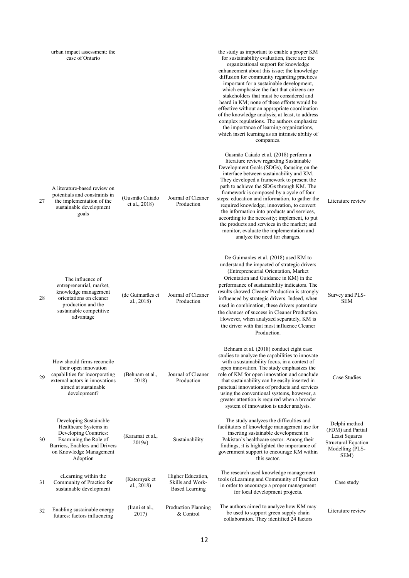|    | urban impact assessment: the<br>case of Ontario                                                                                                                            |                                 |                                                                | the study as important to enable a proper KM<br>for sustainability evaluation, there are: the<br>organizational support for knowledge<br>enhancement about this issue; the knowledge<br>diffusion for community regarding practices<br>important for a sustainable development,<br>which emphasize the fact that citizens are<br>stakeholders that must be considered and<br>heard in KM; none of these efforts would be<br>effective without an appropriate coordination<br>of the knowledge analysis; at least, to address<br>complex regulations. The authors emphasize<br>the importance of learning organizations,<br>which insert learning as an intrinsic ability of<br>companies. |                                                                                                              |
|----|----------------------------------------------------------------------------------------------------------------------------------------------------------------------------|---------------------------------|----------------------------------------------------------------|-------------------------------------------------------------------------------------------------------------------------------------------------------------------------------------------------------------------------------------------------------------------------------------------------------------------------------------------------------------------------------------------------------------------------------------------------------------------------------------------------------------------------------------------------------------------------------------------------------------------------------------------------------------------------------------------|--------------------------------------------------------------------------------------------------------------|
| 27 | A literature-based review on<br>potentials and constraints in<br>the implementation of the<br>sustainable development<br>goals                                             | (Gusmão Caiado<br>et al., 2018) | Journal of Cleaner<br>Production                               | Gusmão Caiado et al. (2018) perform a<br>literature review regarding Sustainable<br>Development Goals (SDGs), focusing on the<br>interface between sustainability and KM.<br>They developed a framework to present the<br>path to achieve the SDGs through KM. The<br>framework is composed by a cycle of four<br>steps: education and information, to gather the<br>required knowledge; innovation, to convert<br>the information into products and services,<br>according to the necessity; implement, to put<br>the products and services in the market; and<br>monitor, evaluate the implementation and<br>analyze the need for changes.                                              | Literature review                                                                                            |
| 28 | The influence of<br>entrepreneurial, market,<br>knowledge management<br>orientations on cleaner<br>production and the<br>sustainable competitive<br>advantage              | (de Guimarães et<br>al., 2018)  | Journal of Cleaner<br>Production                               | De Guimarães et al. (2018) used KM to<br>understand the impacted of strategic drivers<br>(Entrepreneurial Orientation, Market<br>Orientation and Guidance in KM) in the<br>performance of sustainability indicators. The<br>results showed Cleaner Production is strongly<br>influenced by strategic drivers. Indeed, when<br>used in combination, these drivers potentiate<br>the chances of success in Cleaner Production.<br>However, when analyzed separately, KM is<br>the driver with that most influence Cleaner<br>Production.                                                                                                                                                    | Survey and PLS-<br><b>SEM</b>                                                                                |
| 29 | How should firms reconcile<br>their open innovation<br>capabilities for incorporating<br>external actors in innovations<br>aimed at sustainable<br>development?            | (Behnam et al.,<br>2018)        | Journal of Cleaner<br>Production                               | Behnam et al. (2018) conduct eight case<br>studies to analyze the capabilities to innovate<br>with a sustainability focus, in a context of<br>open innovation. The study emphasizes the<br>role of KM for open innovation and conclude<br>that sustainability can be easily inserted in<br>punctual innovations of products and services<br>using the conventional systems, however, a<br>greater attention is required when a broader<br>system of innovation is under analysis.                                                                                                                                                                                                         | Case Studies                                                                                                 |
| 30 | Developing Sustainable<br>Healthcare Systems in<br>Developing Countries:<br>Examining the Role of<br>Barriers, Enablers and Drivers<br>on Knowledge Management<br>Adoption | (Karamat et al.,<br>2019a)      | Sustainability                                                 | The study analyzes the difficulties and<br>facilitators of knowledge management use for<br>inserting sustainable development in<br>Pakistan's healthcare sector. Among their<br>findings, it is highlighted the importance of<br>government support to encourage KM within<br>this sector.                                                                                                                                                                                                                                                                                                                                                                                                | Delphi method<br>(FDM) and Partial<br>Least Squares<br><b>Structural Equation</b><br>Modelling (PLS-<br>SEM) |
| 31 | eLearning within the<br>Community of Practice for<br>sustainable development                                                                                               | (Katernyak et<br>al., 2018)     | Higher Education,<br>Skills and Work-<br><b>Based Learning</b> | The research used knowledge management<br>tools (eLearning and Community of Practice)<br>in order to encourage a proper management<br>for local development projects.                                                                                                                                                                                                                                                                                                                                                                                                                                                                                                                     | Case study                                                                                                   |
| 32 | Enabling sustainable energy<br>futures: factors influencing                                                                                                                | (Irani et al.,<br>2017)         | Production Planning<br>& Control                               | The authors aimed to analyze how KM may<br>be used to support green supply chain<br>collaboration. They identified 24 factors                                                                                                                                                                                                                                                                                                                                                                                                                                                                                                                                                             | Literature review                                                                                            |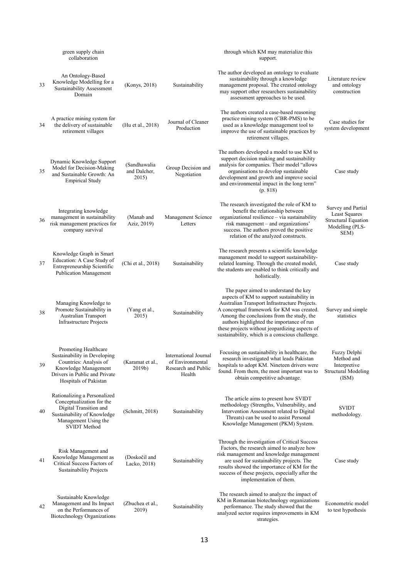|    | green supply chain<br>collaboration                                                                                                                               |                                       |                                                                            | through which KM may materialize this<br>support.                                                                                                                                                                                                                                                                                                                                 |                                                                                              |
|----|-------------------------------------------------------------------------------------------------------------------------------------------------------------------|---------------------------------------|----------------------------------------------------------------------------|-----------------------------------------------------------------------------------------------------------------------------------------------------------------------------------------------------------------------------------------------------------------------------------------------------------------------------------------------------------------------------------|----------------------------------------------------------------------------------------------|
| 33 | An Ontology-Based<br>Knowledge Modelling for a<br><b>Sustainability Assessment</b><br>Domain                                                                      | (Konys, 2018)                         | Sustainability                                                             | The author developed an ontology to evaluate<br>sustainability through a knowledge<br>management proposal. The created ontology<br>may support other researchers sustainability<br>assessment approaches to be used.                                                                                                                                                              | Literature review<br>and ontology<br>construction                                            |
| 34 | A practice mining system for<br>the delivery of sustainable<br>retirement villages                                                                                | (Hu et al., 2018)                     | Journal of Cleaner<br>Production                                           | The authors created a case-based reasoning<br>practice mining system (CBR-PMS) to be<br>used as a knowledge management tool to<br>improve the use of sustainable practices by<br>retirement villages.                                                                                                                                                                             | Case studies for<br>system development                                                       |
| 35 | Dynamic Knowledge Support<br>Model for Decision-Making<br>and Sustainable Growth: An<br><b>Empirical Study</b>                                                    | (Sandhawalia<br>and Dalcher,<br>2015) | Group Decision and<br>Negotiation                                          | The authors developed a model to use KM to<br>support decision making and sustainability<br>analysis for companies. Their model "allows<br>organisations to develop sustainable<br>development and growth and improve social<br>and environmental impact in the long term"<br>(p. 818)                                                                                            | Case study                                                                                   |
| 36 | Integrating knowledge<br>management in sustainability<br>risk management practices for<br>company survival                                                        | (Manab and<br>Aziz, 2019)             | Management Science<br>Letters                                              | The research investigated the role of KM to<br>benefit the relationship between<br>organizational resilience - via sustainability<br>risk management – and organizations'<br>success. The authors proved the positive<br>relation of the analyzed constructs.                                                                                                                     | Survey and Partial<br>Least Squares<br><b>Structural Equation</b><br>Modelling (PLS-<br>SEM) |
| 37 | Knowledge Graph in Smart<br>Education: A Case Study of<br>Entrepreneurship Scientific<br><b>Publication Management</b>                                            | (Chi et al., 2018)                    | Sustainability                                                             | The research presents a scientific knowledge<br>management model to support sustainability-<br>related learning. Through the created model,<br>the students are enabled to think critically and<br>holistically.                                                                                                                                                                  | Case study                                                                                   |
| 38 | Managing Knowledge to<br>Promote Sustainability in<br>Australian Transport<br><b>Infrastructure Projects</b>                                                      | (Yang et al.,<br>2015)                | Sustainability                                                             | The paper aimed to understand the key<br>aspects of KM to support sustainability in<br>Australian Transport Infrastructure Projects.<br>A conceptual framework for KM was created.<br>Among the conclusions from the study, the<br>authors highlighted the importance of run<br>these projects without jeopardizing aspects of<br>sustainability, which is a conscious challenge. | Survey and simple<br>statistics                                                              |
| 39 | Promoting Healthcare<br>Sustainability in Developing<br>Countries: Analysis of<br>Knowledge Management<br>Drivers in Public and Private<br>Hospitals of Pakistan  | (Karamat et al.,<br>2019b)            | International Journal<br>of Environmental<br>Research and Public<br>Health | Focusing on sustainability in healthcare, the<br>research investigated what leads Pakistan<br>hospitals to adopt KM. Nineteen drivers were<br>found. From them, the most important was to<br>obtain competitive advantage.                                                                                                                                                        | Fuzzy Delphi<br>Method and<br>Interpretive<br>Structural Modeling<br>(ISM)                   |
| 40 | Rationalizing a Personalized<br>Conceptualization for the<br>Digital Transition and<br>Sustainability of Knowledge<br>Management Using the<br><b>SVIDT Method</b> | (Schmitt, 2018)                       | Sustainability                                                             | The article aims to present how SVIDT<br>methodology (Strengths, Vulnerability, and<br>Intervention Assessment related to Digital<br>Threats) can be used to assist Personal<br>Knowledge Management (PKM) System.                                                                                                                                                                | <b>SVIDT</b><br>methodology.                                                                 |
| 41 | Risk Management and<br>Knowledge Management as<br>Critical Success Factors of<br><b>Sustainability Projects</b>                                                   | (Doskočil and<br>Lacko, 2018)         | Sustainability                                                             | Through the investigation of Critical Success<br>Factors, the research aimed to analyze how<br>risk management and knowledge management<br>are used for sustainability projects. The<br>results showed the importance of KM for the<br>success of these projects, especially after the<br>implementation of them.                                                                 | Case study                                                                                   |
| 42 | Sustainable Knowledge<br>Management and Its Impact<br>on the Performances of<br>Biotechnology Organizations                                                       | (Zbuchea et al.,<br>2019)             | Sustainability                                                             | The research aimed to analyze the impact of<br>KM in Romanian biotechnology organizations<br>performance. The study showed that the<br>analyzed sector requires improvements in KM<br>strategies.                                                                                                                                                                                 | Econometric model<br>to test hypothesis                                                      |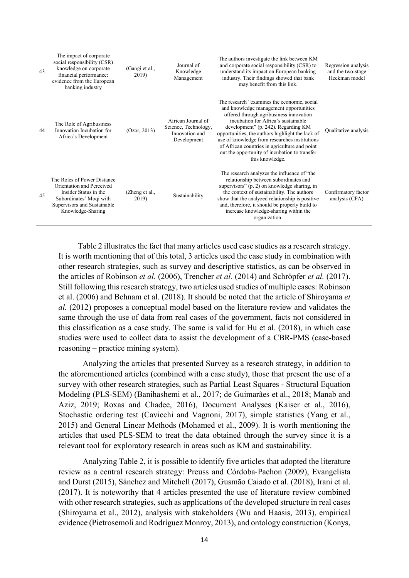| 43 | The impact of corporate<br>social responsibility (CSR)<br>knowledge on corporate<br>financial performance:<br>evidence from the European<br>banking industry     | (Gangi et al.,<br>2019) | Journal of<br>Knowledge<br>Management                                       | The authors investigate the link between KM<br>and corporate social responsibility (CSR) to<br>understand its impact on European banking<br>industry. Their findings showed that bank<br>may benefit from this link.                                                                                                                                                                                                                     | Regression analysis<br>and the two-stage<br>Heckman model |
|----|------------------------------------------------------------------------------------------------------------------------------------------------------------------|-------------------------|-----------------------------------------------------------------------------|------------------------------------------------------------------------------------------------------------------------------------------------------------------------------------------------------------------------------------------------------------------------------------------------------------------------------------------------------------------------------------------------------------------------------------------|-----------------------------------------------------------|
| 44 | The Role of Agribusiness<br>Innovation Incubation for<br>Africa's Development                                                                                    | (Ozor, 2013)            | African Journal of<br>Science, Technology,<br>Innovation and<br>Development | The research "examines the economic, social<br>and knowledge management opportunities<br>offered through agribusiness innovation<br>incubation for Africa's sustainable<br>development" (p. 242). Regarding KM<br>opportunities, the authors highlight the lack of<br>use of knowledge from researches institutions<br>of African countries in agriculture and point<br>out the opportunity of incubation to transfer<br>this knowledge. | Qualitative analysis                                      |
| 45 | The Roles of Power Distance<br>Orientation and Perceived<br>Insider Status in the<br>Subordinates' Moqi with<br>Supervisors and Sustainable<br>Knowledge-Sharing | (Zheng et al.,<br>2019) | Sustainability                                                              | The research analyzes the influence of "the<br>relationship between subordinates and<br>supervisors" (p. 2) on knowledge sharing, in<br>the context of sustainability. The authors<br>show that the analyzed relationship is positive<br>and, therefore, it should be properly build to<br>increase knowledge-sharing within the<br>organization.                                                                                        | Confirmatory factor<br>analysis (CFA)                     |

Table 2 illustrates the fact that many articles used case studies as a research strategy. It is worth mentioning that of this total, 3 articles used the case study in combination with other research strategies, such as survey and descriptive statistics, as can be observed in the articles of Robinson *et al.* (2006), Trencher *et al.* (2014) and Schröpfer *et al.* (2017). Still following this research strategy, two articles used studies of multiple cases: Robinson et al. (2006) and Behnam et al. (2018). It should be noted that the article of Shiroyama *et al.* (2012) proposes a conceptual model based on the literature review and validates the same through the use of data from real cases of the government, facts not considered in this classification as a case study. The same is valid for Hu et al. (2018), in which case studies were used to collect data to assist the development of a CBR-PMS (case-based reasoning – practice mining system).

Analyzing the articles that presented Survey as a research strategy, in addition to the aforementioned articles (combined with a case study), those that present the use of a survey with other research strategies, such as Partial Least Squares - Structural Equation Modeling (PLS-SEM) (Banihashemi et al., 2017; de Guimarães et al., 2018; Manab and Aziz, 2019; Roxas and Chadee, 2016), Document Analyses (Kaiser et al., 2016), Stochastic ordering test (Cavicchi and Vagnoni, 2017), simple statistics (Yang et al., 2015) and General Linear Methods (Mohamed et al., 2009). It is worth mentioning the articles that used PLS-SEM to treat the data obtained through the survey since it is a relevant tool for exploratory research in areas such as KM and sustainability.

Analyzing Table 2, it is possible to identify five articles that adopted the literature review as a central research strategy: Preuss and Córdoba‐Pachon (2009), Evangelista and Durst (2015), Sánchez and Mitchell (2017), Gusmão Caiado et al. (2018), Irani et al. (2017). It is noteworthy that 4 articles presented the use of literature review combined with other research strategies, such as applications of the developed structure in real cases (Shiroyama et al., 2012), analysis with stakeholders (Wu and Haasis, 2013), empirical evidence (Pietrosemoli and Rodríguez Monroy, 2013), and ontology construction (Konys,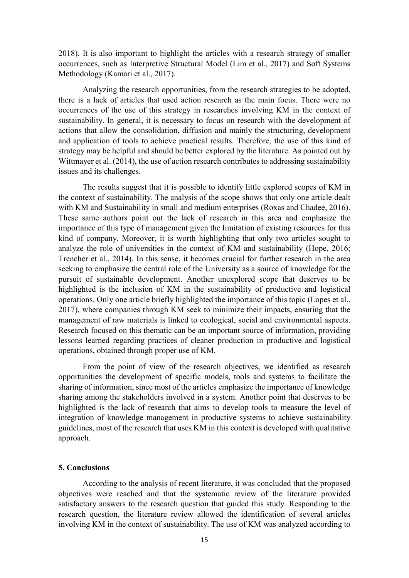2018). It is also important to highlight the articles with a research strategy of smaller occurrences, such as Interpretive Structural Model (Lim et al., 2017) and Soft Systems Methodology (Kamari et al., 2017).

Analyzing the research opportunities, from the research strategies to be adopted, there is a lack of articles that used action research as the main focus. There were no occurrences of the use of this strategy in researches involving KM in the context of sustainability. In general, it is necessary to focus on research with the development of actions that allow the consolidation, diffusion and mainly the structuring, development and application of tools to achieve practical results. Therefore, the use of this kind of strategy may be helpful and should be better explored by the literature. As pointed out by Wittmayer et al. (2014), the use of action research contributes to addressing sustainability issues and its challenges.

The results suggest that it is possible to identify little explored scopes of KM in the context of sustainability. The analysis of the scope shows that only one article dealt with KM and Sustainability in small and medium enterprises (Roxas and Chadee, 2016). These same authors point out the lack of research in this area and emphasize the importance of this type of management given the limitation of existing resources for this kind of company. Moreover, it is worth highlighting that only two articles sought to analyze the role of universities in the context of KM and sustainability (Hope, 2016; Trencher et al., 2014). In this sense, it becomes crucial for further research in the area seeking to emphasize the central role of the University as a source of knowledge for the pursuit of sustainable development. Another unexplored scope that deserves to be highlighted is the inclusion of KM in the sustainability of productive and logistical operations. Only one article briefly highlighted the importance of this topic (Lopes et al., 2017), where companies through KM seek to minimize their impacts, ensuring that the management of raw materials is linked to ecological, social and environmental aspects. Research focused on this thematic can be an important source of information, providing lessons learned regarding practices of cleaner production in productive and logistical operations, obtained through proper use of KM.

From the point of view of the research objectives, we identified as research opportunities the development of specific models, tools and systems to facilitate the sharing of information, since most of the articles emphasize the importance of knowledge sharing among the stakeholders involved in a system. Another point that deserves to be highlighted is the lack of research that aims to develop tools to measure the level of integration of knowledge management in productive systems to achieve sustainability guidelines, most of the research that uses KM in this context is developed with qualitative approach.

#### **5. Conclusions**

According to the analysis of recent literature, it was concluded that the proposed objectives were reached and that the systematic review of the literature provided satisfactory answers to the research question that guided this study. Responding to the research question, the literature review allowed the identification of several articles involving KM in the context of sustainability. The use of KM was analyzed according to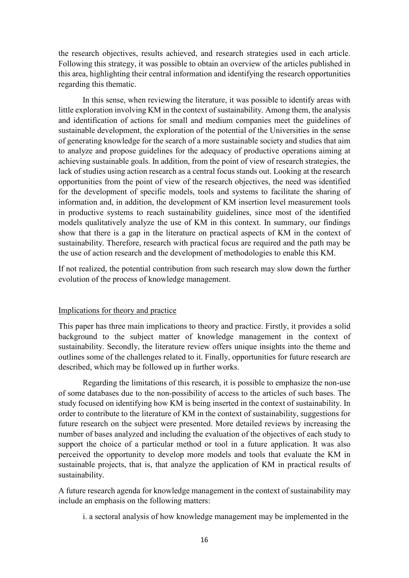the research objectives, results achieved, and research strategies used in each article. Following this strategy, it was possible to obtain an overview of the articles published in this area, highlighting their central information and identifying the research opportunities regarding this thematic.

In this sense, when reviewing the literature, it was possible to identify areas with little exploration involving KM in the context of sustainability. Among them, the analysis and identification of actions for small and medium companies meet the guidelines of sustainable development, the exploration of the potential of the Universities in the sense of generating knowledge for the search of a more sustainable society and studies that aim to analyze and propose guidelines for the adequacy of productive operations aiming at achieving sustainable goals. In addition, from the point of view of research strategies, the lack of studies using action research as a central focus stands out. Looking at the research opportunities from the point of view of the research objectives, the need was identified for the development of specific models, tools and systems to facilitate the sharing of information and, in addition, the development of KM insertion level measurement tools in productive systems to reach sustainability guidelines, since most of the identified models qualitatively analyze the use of KM in this context. In summary, our findings show that there is a gap in the literature on practical aspects of KM in the context of sustainability. Therefore, research with practical focus are required and the path may be the use of action research and the development of methodologies to enable this KM.

If not realized, the potential contribution from such research may slow down the further evolution of the process of knowledge management.

# Implications for theory and practice

This paper has three main implications to theory and practice. Firstly, it provides a solid background to the subject matter of knowledge management in the context of sustainability. Secondly, the literature review offers unique insights into the theme and outlines some of the challenges related to it. Finally, opportunities for future research are described, which may be followed up in further works.

Regarding the limitations of this research, it is possible to emphasize the non-use of some databases due to the non-possibility of access to the articles of such bases. The study focused on identifying how KM is being inserted in the context of sustainability. In order to contribute to the literature of KM in the context of sustainability, suggestions for future research on the subject were presented. More detailed reviews by increasing the number of bases analyzed and including the evaluation of the objectives of each study to support the choice of a particular method or tool in a future application. It was also perceived the opportunity to develop more models and tools that evaluate the KM in sustainable projects, that is, that analyze the application of KM in practical results of sustainability.

A future research agenda for knowledge management in the context of sustainability may include an emphasis on the following matters:

i. a sectoral analysis of how knowledge management may be implemented in the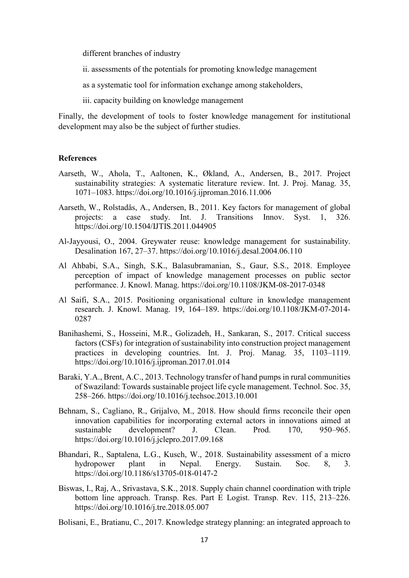different branches of industry

ii. assessments of the potentials for promoting knowledge management

as a systematic tool for information exchange among stakeholders,

iii. capacity building on knowledge management

Finally, the development of tools to foster knowledge management for institutional development may also be the subject of further studies.

#### **References**

- Aarseth, W., Ahola, T., Aaltonen, K., Økland, A., Andersen, B., 2017. Project sustainability strategies: A systematic literature review. Int. J. Proj. Manag. 35, 1071–1083. https://doi.org/10.1016/j.ijproman.2016.11.006
- Aarseth, W., Rolstadås, A., Andersen, B., 2011. Key factors for management of global projects: a case study. Int. J. Transitions Innov. Syst. 1, 326. https://doi.org/10.1504/IJTIS.2011.044905
- Al-Jayyousi, O., 2004. Greywater reuse: knowledge management for sustainability. Desalination 167, 27–37. https://doi.org/10.1016/j.desal.2004.06.110
- Al Ahbabi, S.A., Singh, S.K., Balasubramanian, S., Gaur, S.S., 2018. Employee perception of impact of knowledge management processes on public sector performance. J. Knowl. Manag. https://doi.org/10.1108/JKM-08-2017-0348
- Al Saifi, S.A., 2015. Positioning organisational culture in knowledge management research. J. Knowl. Manag. 19, 164–189. https://doi.org/10.1108/JKM-07-2014- 0287
- Banihashemi, S., Hosseini, M.R., Golizadeh, H., Sankaran, S., 2017. Critical success factors (CSFs) for integration of sustainability into construction project management practices in developing countries. Int. J. Proj. Manag. 35, 1103–1119. https://doi.org/10.1016/j.ijproman.2017.01.014
- Baraki, Y.A., Brent, A.C., 2013. Technology transfer of hand pumps in rural communities of Swaziland: Towards sustainable project life cycle management. Technol. Soc. 35, 258–266. https://doi.org/10.1016/j.techsoc.2013.10.001
- Behnam, S., Cagliano, R., Grijalvo, M., 2018. How should firms reconcile their open innovation capabilities for incorporating external actors in innovations aimed at sustainable development? J. Clean. Prod. 170, 950–965. https://doi.org/10.1016/j.jclepro.2017.09.168
- Bhandari, R., Saptalena, L.G., Kusch, W., 2018. Sustainability assessment of a micro hydropower plant in Nepal. Energy. Sustain. Soc. 8, 3. https://doi.org/10.1186/s13705-018-0147-2
- Biswas, I., Raj, A., Srivastava, S.K., 2018. Supply chain channel coordination with triple bottom line approach. Transp. Res. Part E Logist. Transp. Rev. 115, 213–226. https://doi.org/10.1016/j.tre.2018.05.007
- Bolisani, E., Bratianu, C., 2017. Knowledge strategy planning: an integrated approach to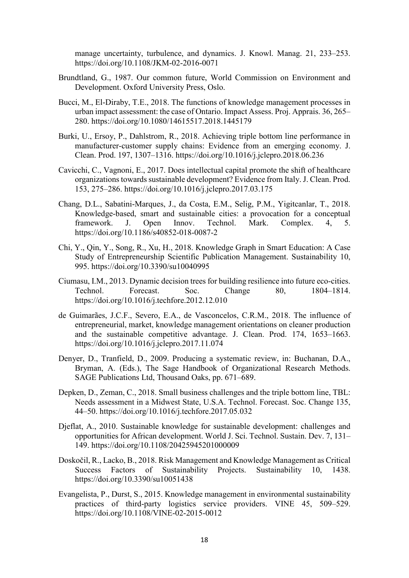manage uncertainty, turbulence, and dynamics. J. Knowl. Manag. 21, 233–253. https://doi.org/10.1108/JKM-02-2016-0071

- Brundtland, G., 1987. Our common future, World Commission on Environment and Development. Oxford University Press, Oslo.
- Bucci, M., El-Diraby, T.E., 2018. The functions of knowledge management processes in urban impact assessment: the case of Ontario. Impact Assess. Proj. Apprais. 36, 265– 280. https://doi.org/10.1080/14615517.2018.1445179
- Burki, U., Ersoy, P., Dahlstrom, R., 2018. Achieving triple bottom line performance in manufacturer-customer supply chains: Evidence from an emerging economy. J. Clean. Prod. 197, 1307–1316. https://doi.org/10.1016/j.jclepro.2018.06.236
- Cavicchi, C., Vagnoni, E., 2017. Does intellectual capital promote the shift of healthcare organizations towards sustainable development? Evidence from Italy. J. Clean. Prod. 153, 275–286. https://doi.org/10.1016/j.jclepro.2017.03.175
- Chang, D.L., Sabatini-Marques, J., da Costa, E.M., Selig, P.M., Yigitcanlar, T., 2018. Knowledge-based, smart and sustainable cities: a provocation for a conceptual framework. J. Open Innov. Technol. Mark. Complex. 4, 5. https://doi.org/10.1186/s40852-018-0087-2
- Chi, Y., Qin, Y., Song, R., Xu, H., 2018. Knowledge Graph in Smart Education: A Case Study of Entrepreneurship Scientific Publication Management. Sustainability 10, 995. https://doi.org/10.3390/su10040995
- Ciumasu, I.M., 2013. Dynamic decision trees for building resilience into future eco-cities. Technol. Forecast. Soc. Change 80, 1804–1814. https://doi.org/10.1016/j.techfore.2012.12.010
- de Guimarães, J.C.F., Severo, E.A., de Vasconcelos, C.R.M., 2018. The influence of entrepreneurial, market, knowledge management orientations on cleaner production and the sustainable competitive advantage. J. Clean. Prod. 174, 1653–1663. https://doi.org/10.1016/j.jclepro.2017.11.074
- Denyer, D., Tranfield, D., 2009. Producing a systematic review, in: Buchanan, D.A., Bryman, A. (Eds.), The Sage Handbook of Organizational Research Methods. SAGE Publications Ltd, Thousand Oaks, pp. 671–689.
- Depken, D., Zeman, C., 2018. Small business challenges and the triple bottom line, TBL: Needs assessment in a Midwest State, U.S.A. Technol. Forecast. Soc. Change 135, 44–50. https://doi.org/10.1016/j.techfore.2017.05.032
- Djeflat, A., 2010. Sustainable knowledge for sustainable development: challenges and opportunities for African development. World J. Sci. Technol. Sustain. Dev. 7, 131– 149. https://doi.org/10.1108/20425945201000009
- Doskočil, R., Lacko, B., 2018. Risk Management and Knowledge Management as Critical Success Factors of Sustainability Projects. Sustainability 10, 1438. https://doi.org/10.3390/su10051438
- Evangelista, P., Durst, S., 2015. Knowledge management in environmental sustainability practices of third-party logistics service providers. VINE 45, 509–529. https://doi.org/10.1108/VINE-02-2015-0012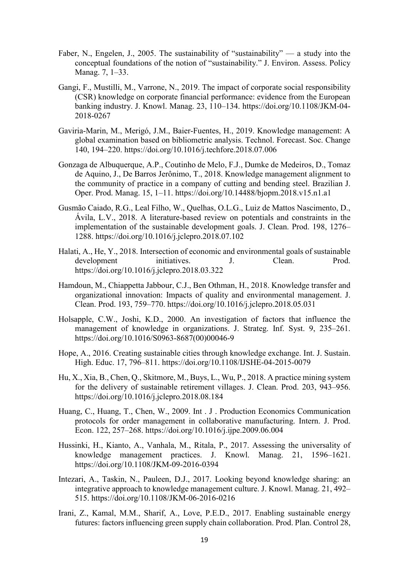- Faber, N., Engelen, J., 2005. The sustainability of "sustainability" a study into the conceptual foundations of the notion of "sustainability." J. Environ. Assess. Policy Manag. 7, 1–33.
- Gangi, F., Mustilli, M., Varrone, N., 2019. The impact of corporate social responsibility (CSR) knowledge on corporate financial performance: evidence from the European banking industry. J. Knowl. Manag. 23, 110–134. https://doi.org/10.1108/JKM-04- 2018-0267
- Gaviria-Marin, M., Merigó, J.M., Baier-Fuentes, H., 2019. Knowledge management: A global examination based on bibliometric analysis. Technol. Forecast. Soc. Change 140, 194–220. https://doi.org/10.1016/j.techfore.2018.07.006
- Gonzaga de Albuquerque, A.P., Coutinho de Melo, F.J., Dumke de Medeiros, D., Tomaz de Aquino, J., De Barros Jerônimo, T., 2018. Knowledge management alignment to the community of practice in a company of cutting and bending steel. Brazilian J. Oper. Prod. Manag. 15, 1–11. https://doi.org/10.14488/bjopm.2018.v15.n1.a1
- Gusmão Caiado, R.G., Leal Filho, W., Quelhas, O.L.G., Luiz de Mattos Nascimento, D., Ávila, L.V., 2018. A literature-based review on potentials and constraints in the implementation of the sustainable development goals. J. Clean. Prod. 198, 1276– 1288. https://doi.org/10.1016/j.jclepro.2018.07.102
- Halati, A., He, Y., 2018. Intersection of economic and environmental goals of sustainable development initiatives. J. Clean. Prod. https://doi.org/10.1016/j.jclepro.2018.03.322
- Hamdoun, M., Chiappetta Jabbour, C.J., Ben Othman, H., 2018. Knowledge transfer and organizational innovation: Impacts of quality and environmental management. J. Clean. Prod. 193, 759–770. https://doi.org/10.1016/j.jclepro.2018.05.031
- Holsapple, C.W., Joshi, K.D., 2000. An investigation of factors that influence the management of knowledge in organizations. J. Strateg. Inf. Syst. 9, 235–261. https://doi.org/10.1016/S0963-8687(00)00046-9
- Hope, A., 2016. Creating sustainable cities through knowledge exchange. Int. J. Sustain. High. Educ. 17, 796–811. https://doi.org/10.1108/IJSHE-04-2015-0079
- Hu, X., Xia, B., Chen, Q., Skitmore, M., Buys, L., Wu, P., 2018. A practice mining system for the delivery of sustainable retirement villages. J. Clean. Prod. 203, 943–956. https://doi.org/10.1016/j.jclepro.2018.08.184
- Huang, C., Huang, T., Chen, W., 2009. Int . J . Production Economics Communication protocols for order management in collaborative manufacturing. Intern. J. Prod. Econ. 122, 257–268. https://doi.org/10.1016/j.ijpe.2009.06.004
- Hussinki, H., Kianto, A., Vanhala, M., Ritala, P., 2017. Assessing the universality of knowledge management practices. J. Knowl. Manag. 21, 1596–1621. https://doi.org/10.1108/JKM-09-2016-0394
- Intezari, A., Taskin, N., Pauleen, D.J., 2017. Looking beyond knowledge sharing: an integrative approach to knowledge management culture. J. Knowl. Manag. 21, 492– 515. https://doi.org/10.1108/JKM-06-2016-0216
- Irani, Z., Kamal, M.M., Sharif, A., Love, P.E.D., 2017. Enabling sustainable energy futures: factors influencing green supply chain collaboration. Prod. Plan. Control 28,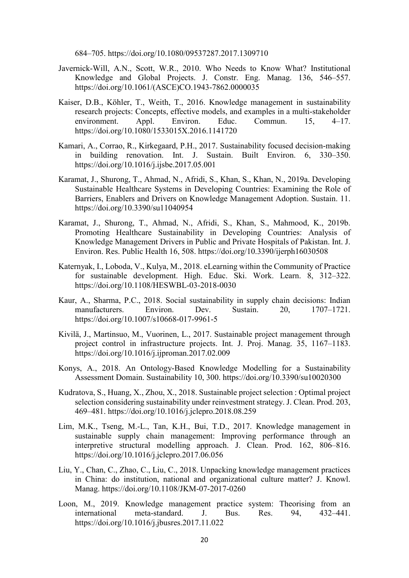684–705. https://doi.org/10.1080/09537287.2017.1309710

- Javernick-Will, A.N., Scott, W.R., 2010. Who Needs to Know What? Institutional Knowledge and Global Projects. J. Constr. Eng. Manag. 136, 546–557. https://doi.org/10.1061/(ASCE)CO.1943-7862.0000035
- Kaiser, D.B., Köhler, T., Weith, T., 2016. Knowledge management in sustainability research projects: Concepts, effective models, and examples in a multi-stakeholder environment. Appl. Environ. Educ. Commun. 15, 4–17. https://doi.org/10.1080/1533015X.2016.1141720
- Kamari, A., Corrao, R., Kirkegaard, P.H., 2017. Sustainability focused decision-making in building renovation. Int. J. Sustain. Built Environ. 6, 330–350. https://doi.org/10.1016/j.ijsbe.2017.05.001
- Karamat, J., Shurong, T., Ahmad, N., Afridi, S., Khan, S., Khan, N., 2019a. Developing Sustainable Healthcare Systems in Developing Countries: Examining the Role of Barriers, Enablers and Drivers on Knowledge Management Adoption. Sustain. 11. https://doi.org/10.3390/su11040954
- Karamat, J., Shurong, T., Ahmad, N., Afridi, S., Khan, S., Mahmood, K., 2019b. Promoting Healthcare Sustainability in Developing Countries: Analysis of Knowledge Management Drivers in Public and Private Hospitals of Pakistan. Int. J. Environ. Res. Public Health 16, 508. https://doi.org/10.3390/ijerph16030508
- Katernyak, I., Loboda, V., Kulya, M., 2018. eLearning within the Community of Practice for sustainable development. High. Educ. Ski. Work. Learn. 8, 312–322. https://doi.org/10.1108/HESWBL-03-2018-0030
- Kaur, A., Sharma, P.C., 2018. Social sustainability in supply chain decisions: Indian manufacturers. Environ. Dev. Sustain. 20, 1707–1721. https://doi.org/10.1007/s10668-017-9961-5
- Kivilä, J., Martinsuo, M., Vuorinen, L., 2017. Sustainable project management through project control in infrastructure projects. Int. J. Proj. Manag. 35, 1167–1183. https://doi.org/10.1016/j.ijproman.2017.02.009
- Konys, A., 2018. An Ontology-Based Knowledge Modelling for a Sustainability Assessment Domain. Sustainability 10, 300. https://doi.org/10.3390/su10020300
- Kudratova, S., Huang, X., Zhou, X., 2018. Sustainable project selection : Optimal project selection considering sustainability under reinvestment strategy. J. Clean. Prod. 203, 469–481. https://doi.org/10.1016/j.jclepro.2018.08.259
- Lim, M.K., Tseng, M.-L., Tan, K.H., Bui, T.D., 2017. Knowledge management in sustainable supply chain management: Improving performance through an interpretive structural modelling approach. J. Clean. Prod. 162, 806–816. https://doi.org/10.1016/j.jclepro.2017.06.056
- Liu, Y., Chan, C., Zhao, C., Liu, C., 2018. Unpacking knowledge management practices in China: do institution, national and organizational culture matter? J. Knowl. Manag. https://doi.org/10.1108/JKM-07-2017-0260
- Loon, M., 2019. Knowledge management practice system: Theorising from an international meta-standard. J. Bus. Res. 94, 432–441. https://doi.org/10.1016/j.jbusres.2017.11.022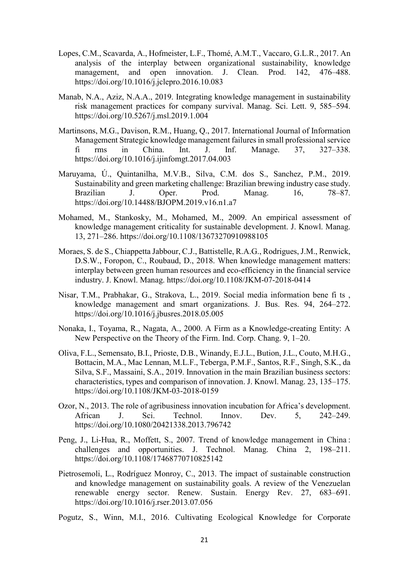- Lopes, C.M., Scavarda, A., Hofmeister, L.F., Thomé, A.M.T., Vaccaro, G.L.R., 2017. An analysis of the interplay between organizational sustainability, knowledge management, and open innovation. J. Clean. Prod. 142, 476–488. https://doi.org/10.1016/j.jclepro.2016.10.083
- Manab, N.A., Aziz, N.A.A., 2019. Integrating knowledge management in sustainability risk management practices for company survival. Manag. Sci. Lett. 9, 585–594. https://doi.org/10.5267/j.msl.2019.1.004
- Martinsons, M.G., Davison, R.M., Huang, Q., 2017. International Journal of Information Management Strategic knowledge management failures in small professional service fi rms in China. Int. J. Inf. Manage. 37, 327–338. https://doi.org/10.1016/j.ijinfomgt.2017.04.003
- Maruyama, Ú., Quintanilha, M.V.B., Silva, C.M. dos S., Sanchez, P.M., 2019. Sustainability and green marketing challenge: Brazilian brewing industry case study. Brazilian J. Oper. Prod. Manag. 16, 78–87. https://doi.org/10.14488/BJOPM.2019.v16.n1.a7
- Mohamed, M., Stankosky, M., Mohamed, M., 2009. An empirical assessment of knowledge management criticality for sustainable development. J. Knowl. Manag. 13, 271–286. https://doi.org/10.1108/13673270910988105
- Moraes, S. de S., Chiappetta Jabbour, C.J., Battistelle, R.A.G., Rodrigues, J.M., Renwick, D.S.W., Foropon, C., Roubaud, D., 2018. When knowledge management matters: interplay between green human resources and eco-efficiency in the financial service industry. J. Knowl. Manag. https://doi.org/10.1108/JKM-07-2018-0414
- Nisar, T.M., Prabhakar, G., Strakova, L., 2019. Social media information bene fi ts , knowledge management and smart organizations. J. Bus. Res. 94, 264–272. https://doi.org/10.1016/j.jbusres.2018.05.005
- Nonaka, I., Toyama, R., Nagata, A., 2000. A Firm as a Knowledge-creating Entity: A New Perspective on the Theory of the Firm. Ind. Corp. Chang. 9, 1–20.
- Oliva, F.L., Semensato, B.I., Prioste, D.B., Winandy, E.J.L., Bution, J.L., Couto, M.H.G., Bottacin, M.A., Mac Lennan, M.L.F., Teberga, P.M.F., Santos, R.F., Singh, S.K., da Silva, S.F., Massaini, S.A., 2019. Innovation in the main Brazilian business sectors: characteristics, types and comparison of innovation. J. Knowl. Manag. 23, 135–175. https://doi.org/10.1108/JKM-03-2018-0159
- Ozor, N., 2013. The role of agribusiness innovation incubation for Africa's development. African J. Sci. Technol. Innov. Dev. 5, 242–249. https://doi.org/10.1080/20421338.2013.796742
- Peng, J., Li-Hua, R., Moffett, S., 2007. Trend of knowledge management in China : challenges and opportunities. J. Technol. Manag. China 2, 198–211. https://doi.org/10.1108/17468770710825142
- Pietrosemoli, L., Rodríguez Monroy, C., 2013. The impact of sustainable construction and knowledge management on sustainability goals. A review of the Venezuelan renewable energy sector. Renew. Sustain. Energy Rev. 27, 683–691. https://doi.org/10.1016/j.rser.2013.07.056
- Pogutz, S., Winn, M.I., 2016. Cultivating Ecological Knowledge for Corporate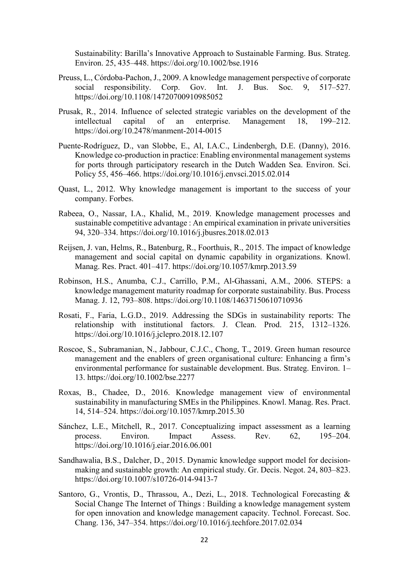Sustainability: Barilla's Innovative Approach to Sustainable Farming. Bus. Strateg. Environ. 25, 435–448. https://doi.org/10.1002/bse.1916

- Preuss, L., Córdoba‐Pachon, J., 2009. A knowledge management perspective of corporate social responsibility. Corp. Gov. Int. J. Bus. Soc. 9, 517–527. https://doi.org/10.1108/14720700910985052
- Prusak, R., 2014. Influence of selected strategic variables on the development of the intellectual capital of an enterprise. Management 18, 199–212. https://doi.org/10.2478/manment-2014-0015
- Puente-Rodríguez, D., van Slobbe, E., Al, I.A.C., Lindenbergh, D.E. (Danny), 2016. Knowledge co-production in practice: Enabling environmental management systems for ports through participatory research in the Dutch Wadden Sea. Environ. Sci. Policy 55, 456–466. https://doi.org/10.1016/j.envsci.2015.02.014
- Quast, L., 2012. Why knowledge management is important to the success of your company. Forbes.
- Rabeea, O., Nassar, I.A., Khalid, M., 2019. Knowledge management processes and sustainable competitive advantage : An empirical examination in private universities 94, 320–334. https://doi.org/10.1016/j.jbusres.2018.02.013
- Reijsen, J. van, Helms, R., Batenburg, R., Foorthuis, R., 2015. The impact of knowledge management and social capital on dynamic capability in organizations. Knowl. Manag. Res. Pract. 401–417. https://doi.org/10.1057/kmrp.2013.59
- Robinson, H.S., Anumba, C.J., Carrillo, P.M., Al‐Ghassani, A.M., 2006. STEPS: a knowledge management maturity roadmap for corporate sustainability. Bus. Process Manag. J. 12, 793–808. https://doi.org/10.1108/14637150610710936
- Rosati, F., Faria, L.G.D., 2019. Addressing the SDGs in sustainability reports: The relationship with institutional factors. J. Clean. Prod. 215, 1312–1326. https://doi.org/10.1016/j.jclepro.2018.12.107
- Roscoe, S., Subramanian, N., Jabbour, C.J.C., Chong, T., 2019. Green human resource management and the enablers of green organisational culture: Enhancing a firm's environmental performance for sustainable development. Bus. Strateg. Environ. 1– 13. https://doi.org/10.1002/bse.2277
- Roxas, B., Chadee, D., 2016. Knowledge management view of environmental sustainability in manufacturing SMEs in the Philippines. Knowl. Manag. Res. Pract. 14, 514–524. https://doi.org/10.1057/kmrp.2015.30
- Sánchez, L.E., Mitchell, R., 2017. Conceptualizing impact assessment as a learning process. Environ. Impact Assess. Rev. 62, 195–204. https://doi.org/10.1016/j.eiar.2016.06.001
- Sandhawalia, B.S., Dalcher, D., 2015. Dynamic knowledge support model for decisionmaking and sustainable growth: An empirical study. Gr. Decis. Negot. 24, 803–823. https://doi.org/10.1007/s10726-014-9413-7
- Santoro, G., Vrontis, D., Thrassou, A., Dezi, L., 2018. Technological Forecasting & Social Change The Internet of Things : Building a knowledge management system for open innovation and knowledge management capacity. Technol. Forecast. Soc. Chang. 136, 347–354. https://doi.org/10.1016/j.techfore.2017.02.034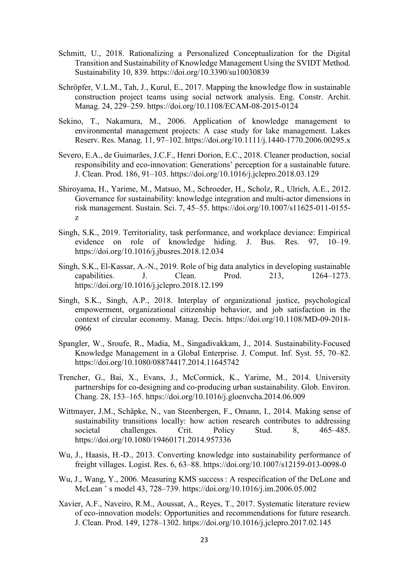- Schmitt, U., 2018. Rationalizing a Personalized Conceptualization for the Digital Transition and Sustainability of Knowledge Management Using the SVIDT Method. Sustainability 10, 839. https://doi.org/10.3390/su10030839
- Schröpfer, V.L.M., Tah, J., Kurul, E., 2017. Mapping the knowledge flow in sustainable construction project teams using social network analysis. Eng. Constr. Archit. Manag. 24, 229–259. https://doi.org/10.1108/ECAM-08-2015-0124
- Sekino, T., Nakamura, M., 2006. Application of knowledge management to environmental management projects: A case study for lake management. Lakes Reserv. Res. Manag. 11, 97–102. https://doi.org/10.1111/j.1440-1770.2006.00295.x
- Severo, E.A., de Guimarães, J.C.F., Henri Dorion, E.C., 2018. Cleaner production, social responsibility and eco-innovation: Generations' perception for a sustainable future. J. Clean. Prod. 186, 91–103. https://doi.org/10.1016/j.jclepro.2018.03.129
- Shiroyama, H., Yarime, M., Matsuo, M., Schroeder, H., Scholz, R., Ulrich, A.E., 2012. Governance for sustainability: knowledge integration and multi-actor dimensions in risk management. Sustain. Sci. 7, 45–55. https://doi.org/10.1007/s11625-011-0155 z
- Singh, S.K., 2019. Territoriality, task performance, and workplace deviance: Empirical evidence on role of knowledge hiding. J. Bus. Res. 97, 10–19. https://doi.org/10.1016/j.jbusres.2018.12.034
- Singh, S.K., El-Kassar, A.-N., 2019. Role of big data analytics in developing sustainable capabilities. J. Clean. Prod. 213, 1264–1273. https://doi.org/10.1016/j.jclepro.2018.12.199
- Singh, S.K., Singh, A.P., 2018. Interplay of organizational justice, psychological empowerment, organizational citizenship behavior, and job satisfaction in the context of circular economy. Manag. Decis. https://doi.org/10.1108/MD-09-2018- 0966
- Spangler, W., Sroufe, R., Madia, M., Singadivakkam, J., 2014. Sustainability-Focused Knowledge Management in a Global Enterprise. J. Comput. Inf. Syst. 55, 70–82. https://doi.org/10.1080/08874417.2014.11645742
- Trencher, G., Bai, X., Evans, J., McCormick, K., Yarime, M., 2014. University partnerships for co-designing and co-producing urban sustainability. Glob. Environ. Chang. 28, 153–165. https://doi.org/10.1016/j.gloenvcha.2014.06.009
- Wittmayer, J.M., Schäpke, N., van Steenbergen, F., Omann, I., 2014. Making sense of sustainability transitions locally: how action research contributes to addressing societal challenges. Crit. Policy Stud. 8, 465–485. https://doi.org/10.1080/19460171.2014.957336
- Wu, J., Haasis, H.-D., 2013. Converting knowledge into sustainability performance of freight villages. Logist. Res. 6, 63–88. https://doi.org/10.1007/s12159-013-0098-0
- Wu, J., Wang, Y., 2006. Measuring KMS success : A respecification of the DeLone and McLean ' s model 43, 728–739. https://doi.org/10.1016/j.im.2006.05.002
- Xavier, A.F., Naveiro, R.M., Aoussat, A., Reyes, T., 2017. Systematic literature review of eco-innovation models: Opportunities and recommendations for future research. J. Clean. Prod. 149, 1278–1302. https://doi.org/10.1016/j.jclepro.2017.02.145